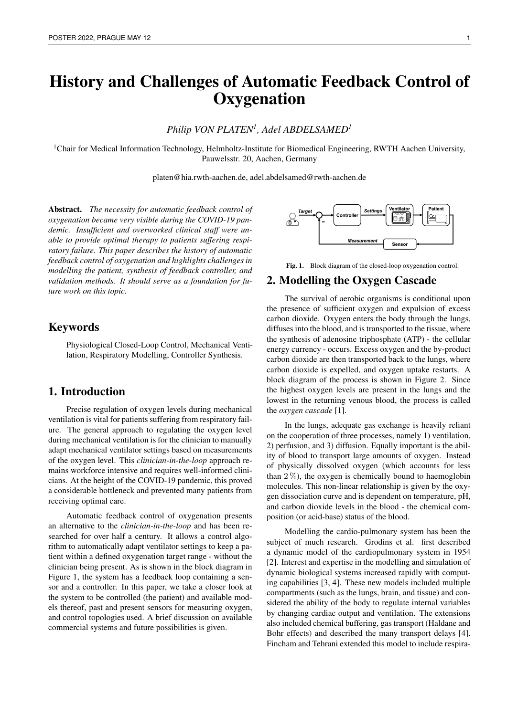# History and Challenges of Automatic Feedback Control of **Oxygenation**

*Philip VON PLATEN<sup>1</sup> , Adel ABDELSAMED<sup>1</sup>*

<sup>1</sup>Chair for Medical Information Technology, Helmholtz-Institute for Biomedical Engineering, RWTH Aachen University, Pauwelsstr. 20, Aachen, Germany

platen@hia.rwth-aachen.de, adel.abdelsamed@rwth-aachen.de

Abstract. *The necessity for automatic feedback control of oxygenation became very visible during the COVID-19 pandemic. Insufficient and overworked clinical staff were unable to provide optimal therapy to patients suffering respiratory failure. This paper describes the history of automatic feedback control of oxygenation and highlights challenges in modelling the patient, synthesis of feedback controller, and validation methods. It should serve as a foundation for future work on this topic.*

# Keywords

Physiological Closed-Loop Control, Mechanical Ventilation, Respiratory Modelling, Controller Synthesis.

# 1. Introduction

Precise regulation of oxygen levels during mechanical ventilation is vital for patients suffering from respiratory failure. The general approach to regulating the oxygen level during mechanical ventilation is for the clinician to manually adapt mechanical ventilator settings based on measurements of the oxygen level. This *clinician-in-the-loop* approach remains workforce intensive and requires well-informed clinicians. At the height of the COVID-19 pandemic, this proved a considerable bottleneck and prevented many patients from receiving optimal care.

Automatic feedback control of oxygenation presents an alternative to the *clinician-in-the-loop* and has been researched for over half a century. It allows a control algorithm to automatically adapt ventilator settings to keep a patient within a defined oxygenation target range - without the clinician being present. As is shown in the block diagram in Figure 1, the system has a feedback loop containing a sensor and a controller. In this paper, we take a closer look at the system to be controlled (the patient) and available models thereof, past and present sensors for measuring oxygen, and control topologies used. A brief discussion on available commercial systems and future possibilities is given.



Fig. 1. Block diagram of the closed-loop oxygenation control.

#### 2. Modelling the Oxygen Cascade

The survival of aerobic organisms is conditional upon the presence of sufficient oxygen and expulsion of excess carbon dioxide. Oxygen enters the body through the lungs, diffuses into the blood, and is transported to the tissue, where the synthesis of adenosine triphosphate (ATP) - the cellular energy currency - occurs. Excess oxygen and the by-product carbon dioxide are then transported back to the lungs, where carbon dioxide is expelled, and oxygen uptake restarts. A block diagram of the process is shown in Figure 2. Since the highest oxygen levels are present in the lungs and the lowest in the returning venous blood, the process is called the *oxygen cascade* [1].

In the lungs, adequate gas exchange is heavily reliant on the cooperation of three processes, namely 1) ventilation, 2) perfusion, and 3) diffusion. Equally important is the ability of blood to transport large amounts of oxygen. Instead of physically dissolved oxygen (which accounts for less than  $2\%$ ), the oxygen is chemically bound to haemoglobin molecules. This non-linear relationship is given by the oxygen dissociation curve and is dependent on temperature, pH, and carbon dioxide levels in the blood - the chemical composition (or acid-base) status of the blood.

Modelling the cardio-pulmonary system has been the subject of much research. Grodins et al. first described a dynamic model of the cardiopulmonary system in 1954 [2]. Interest and expertise in the modelling and simulation of dynamic biological systems increased rapidly with computing capabilities [3, 4]. These new models included multiple compartments (such as the lungs, brain, and tissue) and considered the ability of the body to regulate internal variables by changing cardiac output and ventilation. The extensions also included chemical buffering, gas transport (Haldane and Bohr effects) and described the many transport delays [4]. Fincham and Tehrani extended this model to include respira-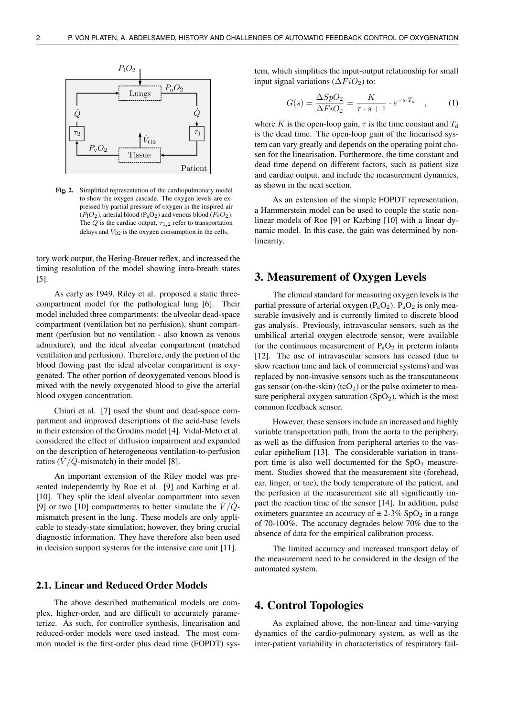

Fig. 2. Simplified representation of the cardiopulmonary model to show the oxygen cascade. The oxygen levels are expressed by partial pressure of oxygen in the inspired air  $(P_1O_2)$ , arterial blood  $(P_aO_2)$  and venous blood  $(P_vO_2)$ . The  $\dot{Q}$  is the cardiac output,  $\tau_{1,2}$  refer to transportation delays and  $\dot{V}_{O2}$  is the oxygen consumption in the cells.

tory work output, the Hering-Breuer reflex, and increased the timing resolution of the model showing intra-breath states [5].

As early as 1949, Riley et al. proposed a static threecompartment model for the pathological lung [6]. Their model included three compartments: the alveolar dead-space compartment (ventilation but no perfusion), shunt compartment (perfusion but no ventilation - also known as venous admixture), and the ideal alveolar compartment (matched ventilation and perfusion). Therefore, only the portion of the blood flowing past the ideal alveolar compartment is oxygenated. The other portion of deoxygenated venous blood is mixed with the newly oxygenated blood to give the arterial blood oxygen concentration.

Chiari et al. [7] used the shunt and dead-space compartment and improved descriptions of the acid-base levels in their extension of the Grodins model [4]. Vidal-Meto et al. considered the effect of diffusion impairment and expanded on the description of heterogeneous ventilation-to-perfusion ratios ( $\dot{V}/\dot{Q}$ -mismatch) in their model [8].

An important extension of the Riley model was presented independently by Roe et al. [9] and Karbing et al. [10]. They split the ideal alveolar compartment into seven [9] or two [10] compartments to better simulate the  $\dot{V}/\dot{Q}$ mismatch present in the lung. These models are only applicable to steady-state simulation; however, they bring crucial diagnostic information. They have therefore also been used in decision support systems for the intensive care unit [11].

#### 2.1. Linear and Reduced Order Models

The above described mathematical models are complex, higher-order, and are difficult to accurately parameterize. As such, for controller synthesis, linearisation and reduced-order models were used instead. The most common model is the first-order plus dead time (FOPDT) system, which simplifies the input-output relationship for small input signal variations ( $\Delta FiO_2$ ) to:

$$
G(s) = \frac{\Delta SpO_2}{\Delta FiO_2} = \frac{K}{\tau \cdot s + 1} \cdot e^{-s \cdot T_d} \quad , \tag{1}
$$

where K is the open-loop gain,  $\tau$  is the time constant and  $T_d$ is the dead time. The open-loop gain of the linearised system can vary greatly and depends on the operating point chosen for the linearisation. Furthermore, the time constant and dead time depend on different factors, such as patient size and cardiac output, and include the measurement dynamics, as shown in the next section.

As an extension of the simple FOPDT representation, a Hammerstein model can be used to couple the static nonlinear models of Roe [9] or Karbing [10] with a linear dynamic model. In this case, the gain was determined by nonlinearity.

## 3. Measurement of Oxygen Levels

The clinical standard for measuring oxygen levels is the partial pressure of arterial oxygen  $(P_aO_2)$ .  $P_aO_2$  is only measurable invasively and is currently limited to discrete blood gas analysis. Previously, intravascular sensors, such as the umbilical arterial oxygen electrode sensor, were available for the continuous measurement of  $P_aO_2$  in preterm infants [12]. The use of intravascular sensors has ceased (due to slow reaction time and lack of commercial systems) and was replaced by non-invasive sensors such as the transcutaneous gas sensor (on-the-skin) (tcO<sub>2</sub>) or the pulse oximeter to measure peripheral oxygen saturation  $(SpO<sub>2</sub>)$ , which is the most common feedback sensor.

However, these sensors include an increased and highly variable transportation path, from the aorta to the periphery, as well as the diffusion from peripheral arteries to the vascular epithelium [13]. The considerable variation in transport time is also well documented for the  $SpO<sub>2</sub>$  measurement. Studies showed that the measurement site (forehead, ear, finger, or toe), the body temperature of the patient, and the perfusion at the measurement site all significantly impact the reaction time of the sensor [14]. In addition, pulse oximeters guarantee an accuracy of  $\pm 2\n-3\%$  SpO<sub>2</sub> in a range of 70-100%. The accuracy degrades below 70% due to the absence of data for the empirical calibration process.

The limited accuracy and increased transport delay of the measurement need to be considered in the design of the automated system.

#### 4. Control Topologies

As explained above, the non-linear and time-varying dynamics of the cardio-pulmonary system, as well as the inter-patient variability in characteristics of respiratory fail-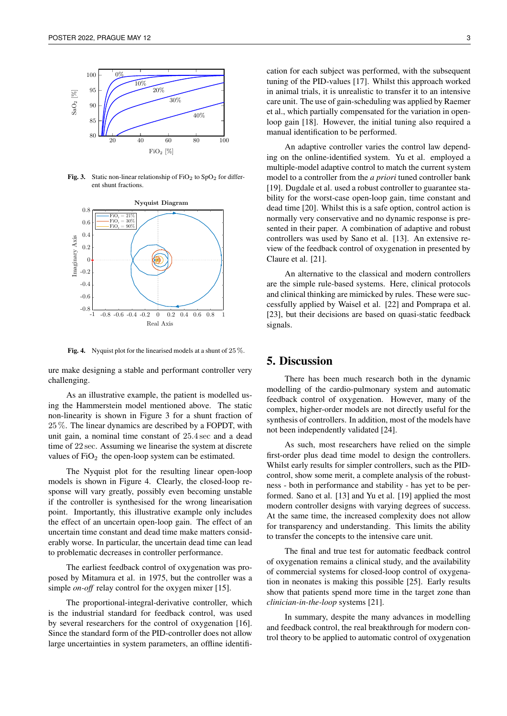

Fig. 3. Static non-linear relationship of  $FiO<sub>2</sub>$  to SpO<sub>2</sub> for different shunt fractions.



Fig. 4. Nyquist plot for the linearised models at a shunt of  $25\%$ .

ure make designing a stable and performant controller very challenging.

As an illustrative example, the patient is modelled using the Hammerstein model mentioned above. The static non-linearity is shown in Figure 3 for a shunt fraction of 25 %. The linear dynamics are described by a FOPDT, with unit gain, a nominal time constant of 25.4 sec and a dead time of 22 sec. Assuming we linearise the system at discrete values of  $FiO<sub>2</sub>$  the open-loop system can be estimated.

The Nyquist plot for the resulting linear open-loop models is shown in Figure 4. Clearly, the closed-loop response will vary greatly, possibly even becoming unstable if the controller is synthesised for the wrong linearisation point. Importantly, this illustrative example only includes the effect of an uncertain open-loop gain. The effect of an uncertain time constant and dead time make matters considerably worse. In particular, the uncertain dead time can lead to problematic decreases in controller performance.

The earliest feedback control of oxygenation was proposed by Mitamura et al. in 1975, but the controller was a simple *on-off* relay control for the oxygen mixer [15].

The proportional-integral-derivative controller, which is the industrial standard for feedback control, was used by several researchers for the control of oxygenation [16]. Since the standard form of the PID-controller does not allow large uncertainties in system parameters, an offline identification for each subject was performed, with the subsequent tuning of the PID-values [17]. Whilst this approach worked in animal trials, it is unrealistic to transfer it to an intensive care unit. The use of gain-scheduling was applied by Raemer et al., which partially compensated for the variation in openloop gain [18]. However, the initial tuning also required a manual identification to be performed.

An adaptive controller varies the control law depending on the online-identified system. Yu et al. employed a multiple-model adaptive control to match the current system model to a controller from the *a priori* tuned controller bank [19]. Dugdale et al. used a robust controller to guarantee stability for the worst-case open-loop gain, time constant and dead time [20]. Whilst this is a safe option, control action is normally very conservative and no dynamic response is presented in their paper. A combination of adaptive and robust controllers was used by Sano et al. [13]. An extensive review of the feedback control of oxygenation in presented by Claure et al. [21].

An alternative to the classical and modern controllers are the simple rule-based systems. Here, clinical protocols and clinical thinking are mimicked by rules. These were successfully applied by Waisel et al. [22] and Pomprapa et al. [23], but their decisions are based on quasi-static feedback signals.

## 5. Discussion

There has been much research both in the dynamic modelling of the cardio-pulmonary system and automatic feedback control of oxygenation. However, many of the complex, higher-order models are not directly useful for the synthesis of controllers. In addition, most of the models have not been independently validated [24].

As such, most researchers have relied on the simple first-order plus dead time model to design the controllers. Whilst early results for simpler controllers, such as the PIDcontrol, show some merit, a complete analysis of the robustness - both in performance and stability - has yet to be performed. Sano et al. [13] and Yu et al. [19] applied the most modern controller designs with varying degrees of success. At the same time, the increased complexity does not allow for transparency and understanding. This limits the ability to transfer the concepts to the intensive care unit.

The final and true test for automatic feedback control of oxygenation remains a clinical study, and the availability of commercial systems for closed-loop control of oxygenation in neonates is making this possible [25]. Early results show that patients spend more time in the target zone than *clinician-in-the-loop* systems [21].

In summary, despite the many advances in modelling and feedback control, the real breakthrough for modern control theory to be applied to automatic control of oxygenation